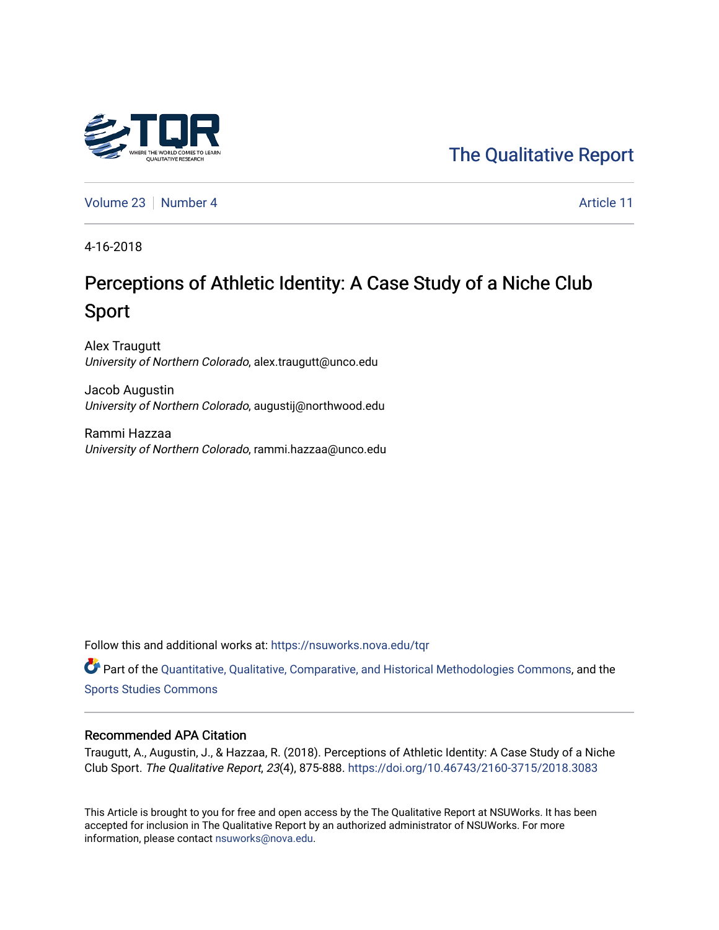

# [The Qualitative Report](https://nsuworks.nova.edu/tqr)

[Volume 23](https://nsuworks.nova.edu/tqr/vol23) [Number 4](https://nsuworks.nova.edu/tqr/vol23/iss4) Article 11

4-16-2018

# Perceptions of Athletic Identity: A Case Study of a Niche Club Sport

Alex Traugutt University of Northern Colorado, alex.traugutt@unco.edu

Jacob Augustin University of Northern Colorado, augustij@northwood.edu

Rammi Hazzaa University of Northern Colorado, rammi.hazzaa@unco.edu

Follow this and additional works at: [https://nsuworks.nova.edu/tqr](https://nsuworks.nova.edu/tqr?utm_source=nsuworks.nova.edu%2Ftqr%2Fvol23%2Fiss4%2F11&utm_medium=PDF&utm_campaign=PDFCoverPages) 

Part of the [Quantitative, Qualitative, Comparative, and Historical Methodologies Commons,](http://network.bepress.com/hgg/discipline/423?utm_source=nsuworks.nova.edu%2Ftqr%2Fvol23%2Fiss4%2F11&utm_medium=PDF&utm_campaign=PDFCoverPages) and the [Sports Studies Commons](http://network.bepress.com/hgg/discipline/1198?utm_source=nsuworks.nova.edu%2Ftqr%2Fvol23%2Fiss4%2F11&utm_medium=PDF&utm_campaign=PDFCoverPages) 

#### Recommended APA Citation

Traugutt, A., Augustin, J., & Hazzaa, R. (2018). Perceptions of Athletic Identity: A Case Study of a Niche Club Sport. The Qualitative Report, 23(4), 875-888. <https://doi.org/10.46743/2160-3715/2018.3083>

This Article is brought to you for free and open access by the The Qualitative Report at NSUWorks. It has been accepted for inclusion in The Qualitative Report by an authorized administrator of NSUWorks. For more information, please contact [nsuworks@nova.edu.](mailto:nsuworks@nova.edu)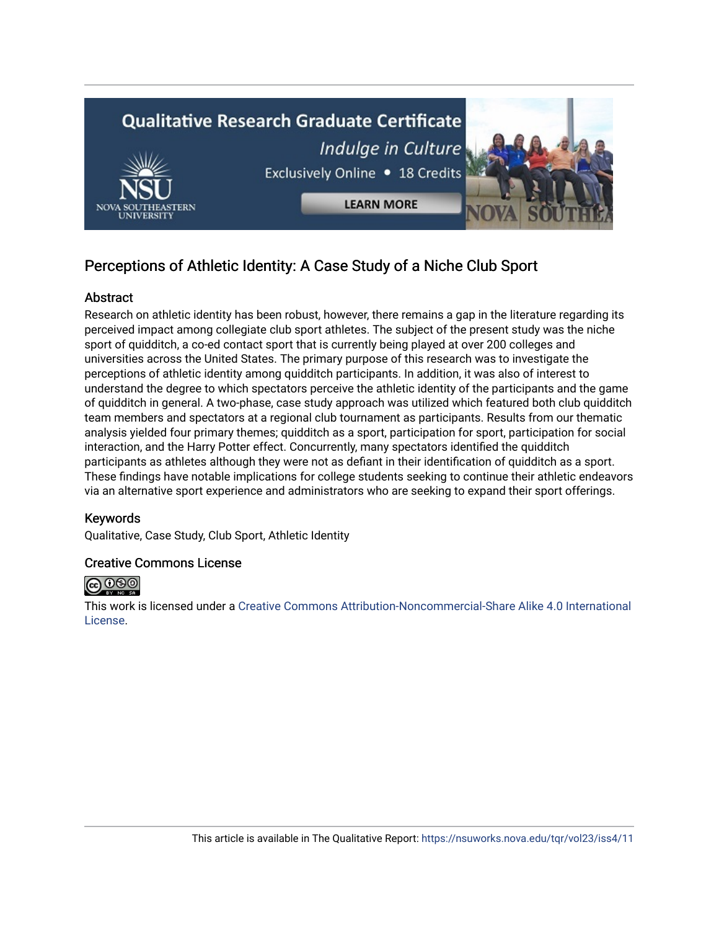

# Perceptions of Athletic Identity: A Case Study of a Niche Club Sport

# Abstract

Research on athletic identity has been robust, however, there remains a gap in the literature regarding its perceived impact among collegiate club sport athletes. The subject of the present study was the niche sport of quidditch, a co-ed contact sport that is currently being played at over 200 colleges and universities across the United States. The primary purpose of this research was to investigate the perceptions of athletic identity among quidditch participants. In addition, it was also of interest to understand the degree to which spectators perceive the athletic identity of the participants and the game of quidditch in general. A two-phase, case study approach was utilized which featured both club quidditch team members and spectators at a regional club tournament as participants. Results from our thematic analysis yielded four primary themes; quidditch as a sport, participation for sport, participation for social interaction, and the Harry Potter effect. Concurrently, many spectators identified the quidditch participants as athletes although they were not as defiant in their identification of quidditch as a sport. These findings have notable implications for college students seeking to continue their athletic endeavors via an alternative sport experience and administrators who are seeking to expand their sport offerings.

# Keywords

Qualitative, Case Study, Club Sport, Athletic Identity

# Creative Commons License



This work is licensed under a [Creative Commons Attribution-Noncommercial-Share Alike 4.0 International](https://creativecommons.org/licenses/by-nc-sa/4.0/)  [License](https://creativecommons.org/licenses/by-nc-sa/4.0/).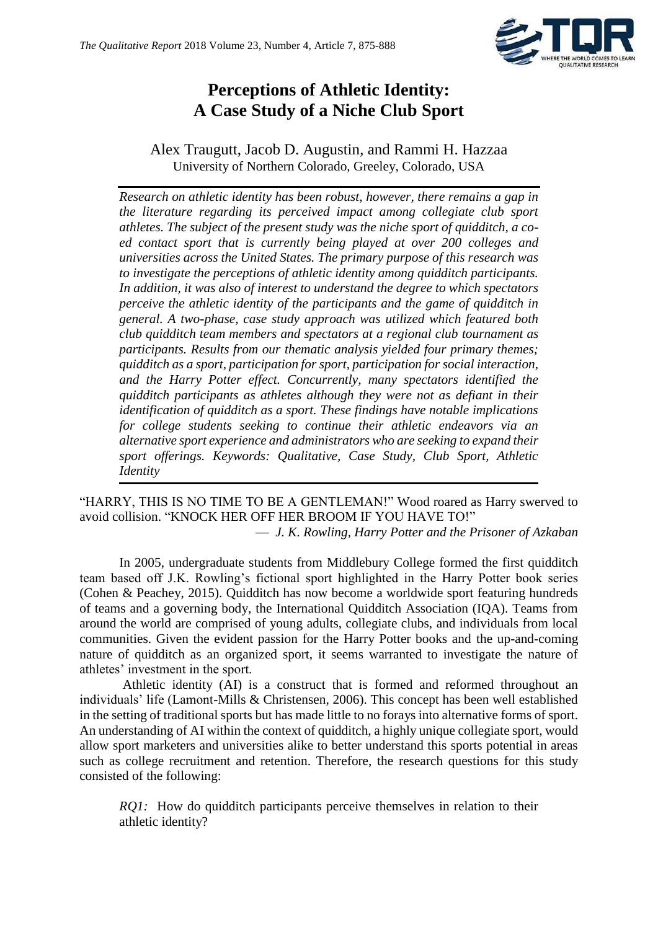

# **Perceptions of Athletic Identity: A Case Study of a Niche Club Sport**

# Alex Traugutt, Jacob D. Augustin, and Rammi H. Hazzaa University of Northern Colorado, Greeley, Colorado, USA

*Research on athletic identity has been robust, however, there remains a gap in the literature regarding its perceived impact among collegiate club sport athletes. The subject of the present study was the niche sport of quidditch, a coed contact sport that is currently being played at over 200 colleges and universities across the United States. The primary purpose of this research was to investigate the perceptions of athletic identity among quidditch participants. In addition, it was also of interest to understand the degree to which spectators perceive the athletic identity of the participants and the game of quidditch in general. A two-phase, case study approach was utilized which featured both club quidditch team members and spectators at a regional club tournament as participants. Results from our thematic analysis yielded four primary themes; quidditch as a sport, participation for sport, participation for social interaction, and the Harry Potter effect. Concurrently, many spectators identified the quidditch participants as athletes although they were not as defiant in their identification of quidditch as a sport. These findings have notable implications for college students seeking to continue their athletic endeavors via an alternative sport experience and administrators who are seeking to expand their sport offerings. Keywords: Qualitative, Case Study, Club Sport, Athletic Identity*

"HARRY, THIS IS NO TIME TO BE A GENTLEMAN!" Wood roared as Harry swerved to avoid collision. "KNOCK HER OFF HER BROOM IF YOU HAVE TO!"

— *J. K. Rowling, Harry Potter and the Prisoner of Azkaban*

In 2005, undergraduate students from Middlebury College formed the first quidditch team based off J.K. Rowling's fictional sport highlighted in the Harry Potter book series (Cohen & Peachey, 2015). Quidditch has now become a worldwide sport featuring hundreds of teams and a governing body, the International Quidditch Association (IQA). Teams from around the world are comprised of young adults, collegiate clubs, and individuals from local communities. Given the evident passion for the Harry Potter books and the up-and-coming nature of quidditch as an organized sport, it seems warranted to investigate the nature of athletes' investment in the sport.

Athletic identity (AI) is a construct that is formed and reformed throughout an individuals' life (Lamont-Mills & Christensen, 2006). This concept has been well established in the setting of traditional sports but has made little to no forays into alternative forms of sport. An understanding of AI within the context of quidditch, a highly unique collegiate sport, would allow sport marketers and universities alike to better understand this sports potential in areas such as college recruitment and retention. Therefore, the research questions for this study consisted of the following:

*RQ1:* How do quidditch participants perceive themselves in relation to their athletic identity?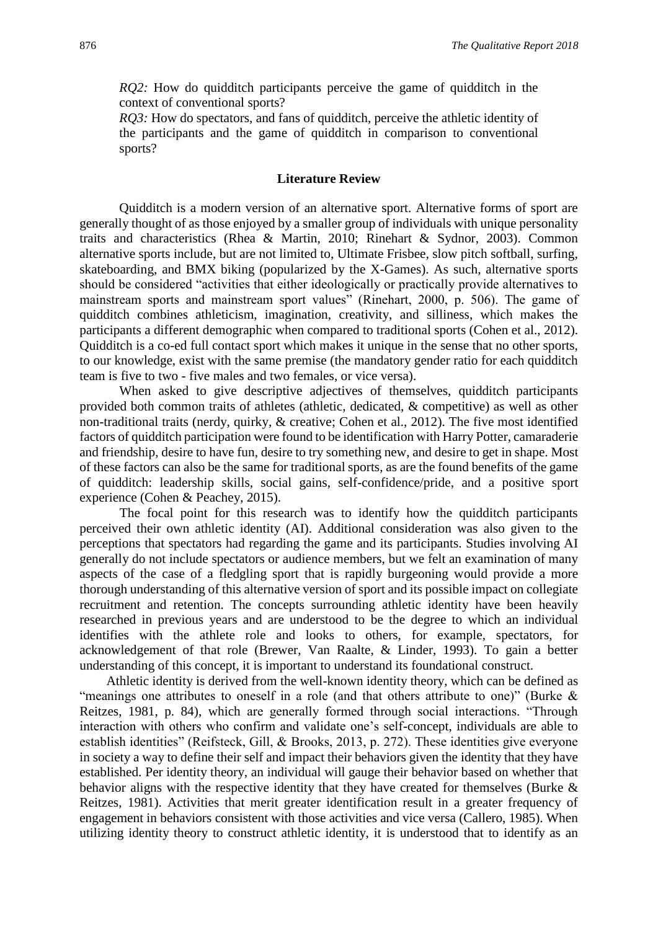*RQ2*: How do quidditch participants perceive the game of quidditch in the context of conventional sports?

*RO3*: How do spectators, and fans of quidditch, perceive the athletic identity of the participants and the game of quidditch in comparison to conventional sports?

### **Literature Review**

Quidditch is a modern version of an alternative sport. Alternative forms of sport are generally thought of as those enjoyed by a smaller group of individuals with unique personality traits and characteristics (Rhea & Martin, 2010; Rinehart & Sydnor, 2003). Common alternative sports include, but are not limited to, Ultimate Frisbee, slow pitch softball, surfing, skateboarding, and BMX biking (popularized by the X-Games). As such, alternative sports should be considered "activities that either ideologically or practically provide alternatives to mainstream sports and mainstream sport values" (Rinehart, 2000, p. 506). The game of quidditch combines athleticism, imagination, creativity, and silliness, which makes the participants a different demographic when compared to traditional sports (Cohen et al., 2012). Quidditch is a co-ed full contact sport which makes it unique in the sense that no other sports, to our knowledge, exist with the same premise (the mandatory gender ratio for each quidditch team is five to two - five males and two females, or vice versa).

When asked to give descriptive adjectives of themselves, quidditch participants provided both common traits of athletes (athletic, dedicated, & competitive) as well as other non-traditional traits (nerdy, quirky, & creative; Cohen et al., 2012). The five most identified factors of quidditch participation were found to be identification with Harry Potter, camaraderie and friendship, desire to have fun, desire to try something new, and desire to get in shape. Most of these factors can also be the same for traditional sports, as are the found benefits of the game of quidditch: leadership skills, social gains, self-confidence/pride, and a positive sport experience (Cohen & Peachey, 2015).

The focal point for this research was to identify how the quidditch participants perceived their own athletic identity (AI). Additional consideration was also given to the perceptions that spectators had regarding the game and its participants. Studies involving AI generally do not include spectators or audience members, but we felt an examination of many aspects of the case of a fledgling sport that is rapidly burgeoning would provide a more thorough understanding of this alternative version of sport and its possible impact on collegiate recruitment and retention. The concepts surrounding athletic identity have been heavily researched in previous years and are understood to be the degree to which an individual identifies with the athlete role and looks to others, for example, spectators, for acknowledgement of that role (Brewer, Van Raalte, & Linder, 1993). To gain a better understanding of this concept, it is important to understand its foundational construct.

Athletic identity is derived from the well-known identity theory, which can be defined as "meanings one attributes to oneself in a role (and that others attribute to one)" (Burke & Reitzes, 1981, p. 84), which are generally formed through social interactions. "Through interaction with others who confirm and validate one's self-concept, individuals are able to establish identities" (Reifsteck, Gill, & Brooks, 2013, p. 272). These identities give everyone in society a way to define their self and impact their behaviors given the identity that they have established. Per identity theory, an individual will gauge their behavior based on whether that behavior aligns with the respective identity that they have created for themselves (Burke & Reitzes, 1981). Activities that merit greater identification result in a greater frequency of engagement in behaviors consistent with those activities and vice versa (Callero, 1985). When utilizing identity theory to construct athletic identity, it is understood that to identify as an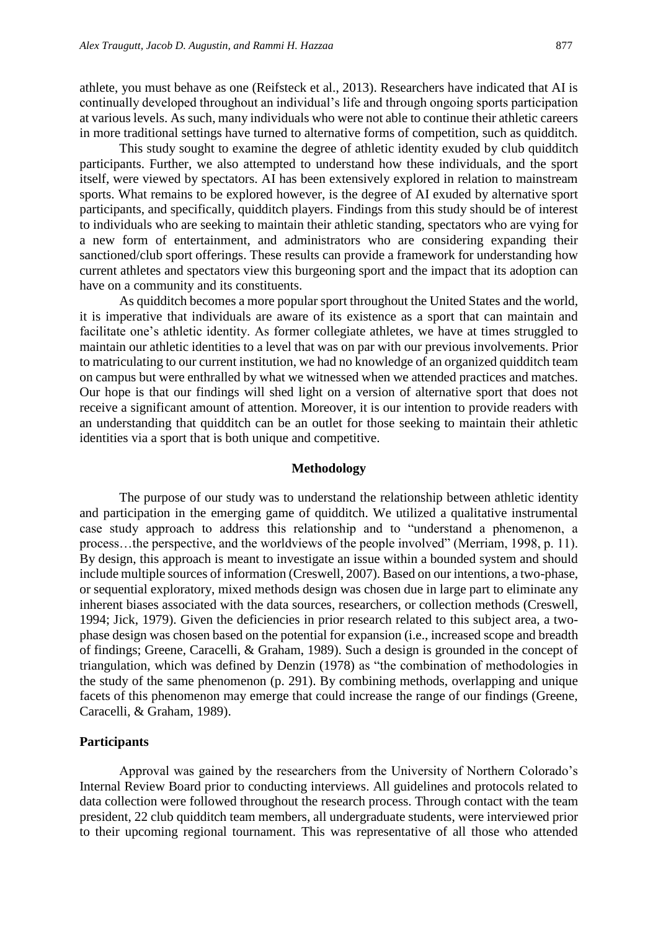athlete, you must behave as one (Reifsteck et al., 2013). Researchers have indicated that AI is continually developed throughout an individual's life and through ongoing sports participation at various levels. As such, many individuals who were not able to continue their athletic careers in more traditional settings have turned to alternative forms of competition, such as quidditch.

This study sought to examine the degree of athletic identity exuded by club quidditch participants. Further, we also attempted to understand how these individuals, and the sport itself, were viewed by spectators. AI has been extensively explored in relation to mainstream sports. What remains to be explored however, is the degree of AI exuded by alternative sport participants, and specifically, quidditch players. Findings from this study should be of interest to individuals who are seeking to maintain their athletic standing, spectators who are vying for a new form of entertainment, and administrators who are considering expanding their sanctioned/club sport offerings. These results can provide a framework for understanding how current athletes and spectators view this burgeoning sport and the impact that its adoption can have on a community and its constituents.

As quidditch becomes a more popular sport throughout the United States and the world, it is imperative that individuals are aware of its existence as a sport that can maintain and facilitate one's athletic identity. As former collegiate athletes, we have at times struggled to maintain our athletic identities to a level that was on par with our previous involvements. Prior to matriculating to our current institution, we had no knowledge of an organized quidditch team on campus but were enthralled by what we witnessed when we attended practices and matches. Our hope is that our findings will shed light on a version of alternative sport that does not receive a significant amount of attention. Moreover, it is our intention to provide readers with an understanding that quidditch can be an outlet for those seeking to maintain their athletic identities via a sport that is both unique and competitive.

#### **Methodology**

The purpose of our study was to understand the relationship between athletic identity and participation in the emerging game of quidditch. We utilized a qualitative instrumental case study approach to address this relationship and to "understand a phenomenon, a process…the perspective, and the worldviews of the people involved" (Merriam, 1998, p. 11). By design, this approach is meant to investigate an issue within a bounded system and should include multiple sources of information (Creswell, 2007). Based on our intentions, a two-phase, or sequential exploratory, mixed methods design was chosen due in large part to eliminate any inherent biases associated with the data sources, researchers, or collection methods (Creswell, 1994; Jick, 1979). Given the deficiencies in prior research related to this subject area, a twophase design was chosen based on the potential for expansion (i.e., increased scope and breadth of findings; Greene, Caracelli, & Graham, 1989). Such a design is grounded in the concept of triangulation, which was defined by Denzin (1978) as "the combination of methodologies in the study of the same phenomenon (p. 291). By combining methods, overlapping and unique facets of this phenomenon may emerge that could increase the range of our findings (Greene, Caracelli, & Graham, 1989).

#### **Participants**

Approval was gained by the researchers from the University of Northern Colorado's Internal Review Board prior to conducting interviews. All guidelines and protocols related to data collection were followed throughout the research process. Through contact with the team president, 22 club quidditch team members, all undergraduate students, were interviewed prior to their upcoming regional tournament. This was representative of all those who attended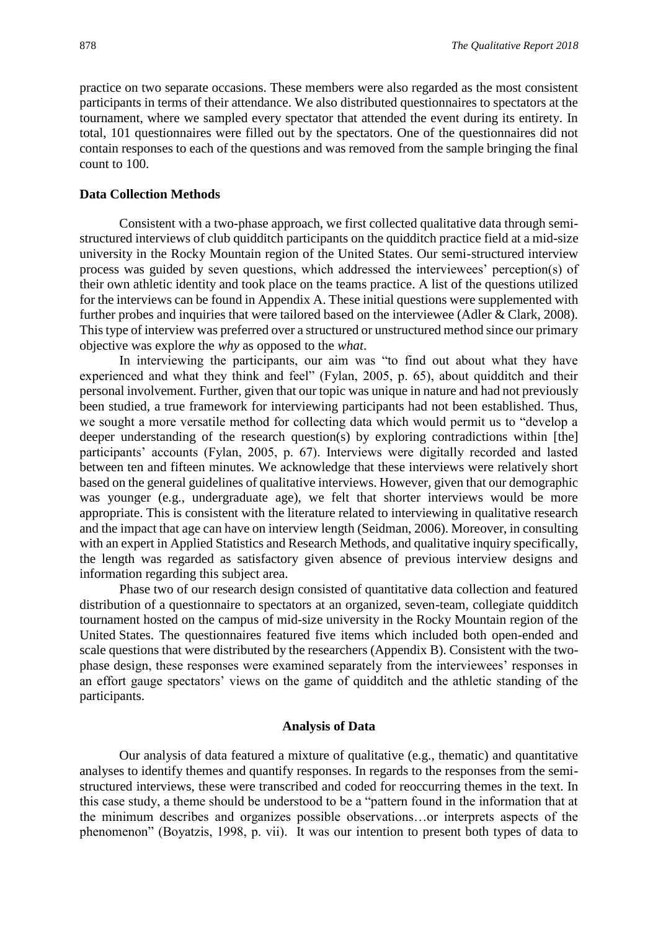practice on two separate occasions. These members were also regarded as the most consistent participants in terms of their attendance. We also distributed questionnaires to spectators at the tournament, where we sampled every spectator that attended the event during its entirety. In total, 101 questionnaires were filled out by the spectators. One of the questionnaires did not contain responses to each of the questions and was removed from the sample bringing the final count to 100.

#### **Data Collection Methods**

Consistent with a two-phase approach, we first collected qualitative data through semistructured interviews of club quidditch participants on the quidditch practice field at a mid-size university in the Rocky Mountain region of the United States. Our semi-structured interview process was guided by seven questions, which addressed the interviewees' perception(s) of their own athletic identity and took place on the teams practice. A list of the questions utilized for the interviews can be found in Appendix A. These initial questions were supplemented with further probes and inquiries that were tailored based on the interviewee (Adler & Clark, 2008). This type of interview was preferred over a structured or unstructured method since our primary objective was explore the *why* as opposed to the *what*.

In interviewing the participants, our aim was "to find out about what they have experienced and what they think and feel" (Fylan, 2005, p. 65), about quidditch and their personal involvement. Further, given that our topic was unique in nature and had not previously been studied, a true framework for interviewing participants had not been established. Thus, we sought a more versatile method for collecting data which would permit us to "develop a deeper understanding of the research question(s) by exploring contradictions within [the] participants' accounts (Fylan, 2005, p. 67). Interviews were digitally recorded and lasted between ten and fifteen minutes. We acknowledge that these interviews were relatively short based on the general guidelines of qualitative interviews. However, given that our demographic was younger (e.g., undergraduate age), we felt that shorter interviews would be more appropriate. This is consistent with the literature related to interviewing in qualitative research and the impact that age can have on interview length (Seidman, 2006). Moreover, in consulting with an expert in Applied Statistics and Research Methods, and qualitative inquiry specifically, the length was regarded as satisfactory given absence of previous interview designs and information regarding this subject area.

Phase two of our research design consisted of quantitative data collection and featured distribution of a questionnaire to spectators at an organized, seven-team, collegiate quidditch tournament hosted on the campus of mid-size university in the Rocky Mountain region of the United States. The questionnaires featured five items which included both open-ended and scale questions that were distributed by the researchers (Appendix B). Consistent with the twophase design, these responses were examined separately from the interviewees' responses in an effort gauge spectators' views on the game of quidditch and the athletic standing of the participants.

#### **Analysis of Data**

Our analysis of data featured a mixture of qualitative (e.g., thematic) and quantitative analyses to identify themes and quantify responses. In regards to the responses from the semistructured interviews, these were transcribed and coded for reoccurring themes in the text. In this case study, a theme should be understood to be a "pattern found in the information that at the minimum describes and organizes possible observations…or interprets aspects of the phenomenon" (Boyatzis, 1998, p. vii). It was our intention to present both types of data to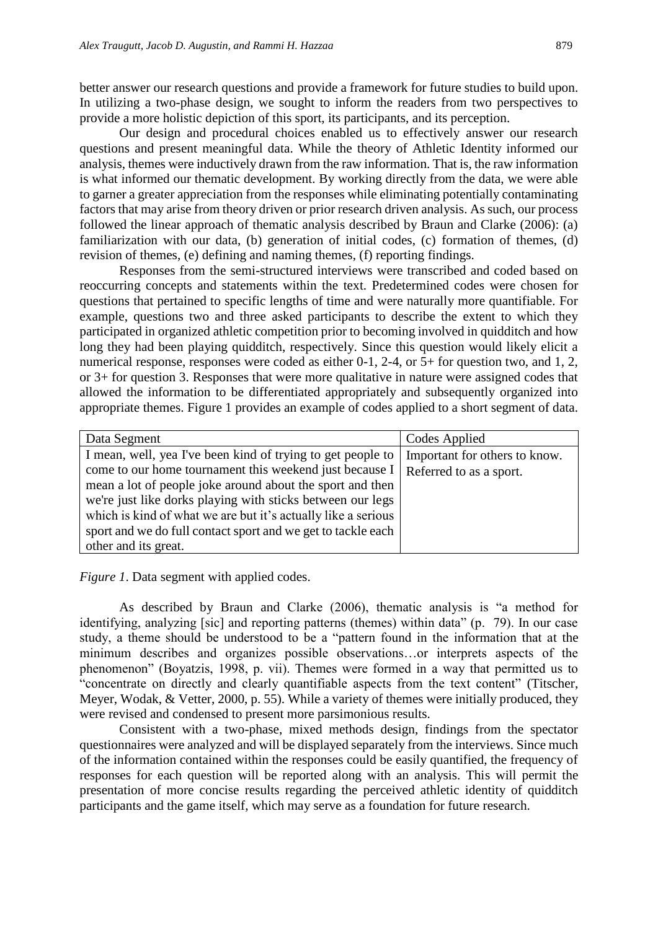better answer our research questions and provide a framework for future studies to build upon. In utilizing a two-phase design, we sought to inform the readers from two perspectives to provide a more holistic depiction of this sport, its participants, and its perception.

Our design and procedural choices enabled us to effectively answer our research questions and present meaningful data. While the theory of Athletic Identity informed our analysis, themes were inductively drawn from the raw information. That is, the raw information is what informed our thematic development. By working directly from the data, we were able to garner a greater appreciation from the responses while eliminating potentially contaminating factors that may arise from theory driven or prior research driven analysis. As such, our process followed the linear approach of thematic analysis described by Braun and Clarke (2006): (a) familiarization with our data, (b) generation of initial codes, (c) formation of themes, (d) revision of themes, (e) defining and naming themes, (f) reporting findings.

Responses from the semi-structured interviews were transcribed and coded based on reoccurring concepts and statements within the text. Predetermined codes were chosen for questions that pertained to specific lengths of time and were naturally more quantifiable. For example, questions two and three asked participants to describe the extent to which they participated in organized athletic competition prior to becoming involved in quidditch and how long they had been playing quidditch, respectively. Since this question would likely elicit a numerical response, responses were coded as either 0-1, 2-4, or 5+ for question two, and 1, 2, or 3+ for question 3. Responses that were more qualitative in nature were assigned codes that allowed the information to be differentiated appropriately and subsequently organized into appropriate themes. Figure 1 provides an example of codes applied to a short segment of data.

| Data Segment                                                  | Codes Applied                 |
|---------------------------------------------------------------|-------------------------------|
| I mean, well, yea I've been kind of trying to get people to   | Important for others to know. |
| come to our home tournament this weekend just because I       | Referred to as a sport.       |
| mean a lot of people joke around about the sport and then     |                               |
| we're just like dorks playing with sticks between our legs    |                               |
| which is kind of what we are but it's actually like a serious |                               |
| sport and we do full contact sport and we get to tackle each  |                               |
| other and its great.                                          |                               |

*Figure 1*. Data segment with applied codes.

As described by Braun and Clarke (2006), thematic analysis is "a method for identifying, analyzing [sic] and reporting patterns (themes) within data" (p. 79). In our case study, a theme should be understood to be a "pattern found in the information that at the minimum describes and organizes possible observations…or interprets aspects of the phenomenon" (Boyatzis, 1998, p. vii). Themes were formed in a way that permitted us to "concentrate on directly and clearly quantifiable aspects from the text content" (Titscher, Meyer, Wodak, & Vetter, 2000, p. 55). While a variety of themes were initially produced, they were revised and condensed to present more parsimonious results.

Consistent with a two-phase, mixed methods design, findings from the spectator questionnaires were analyzed and will be displayed separately from the interviews. Since much of the information contained within the responses could be easily quantified, the frequency of responses for each question will be reported along with an analysis. This will permit the presentation of more concise results regarding the perceived athletic identity of quidditch participants and the game itself, which may serve as a foundation for future research.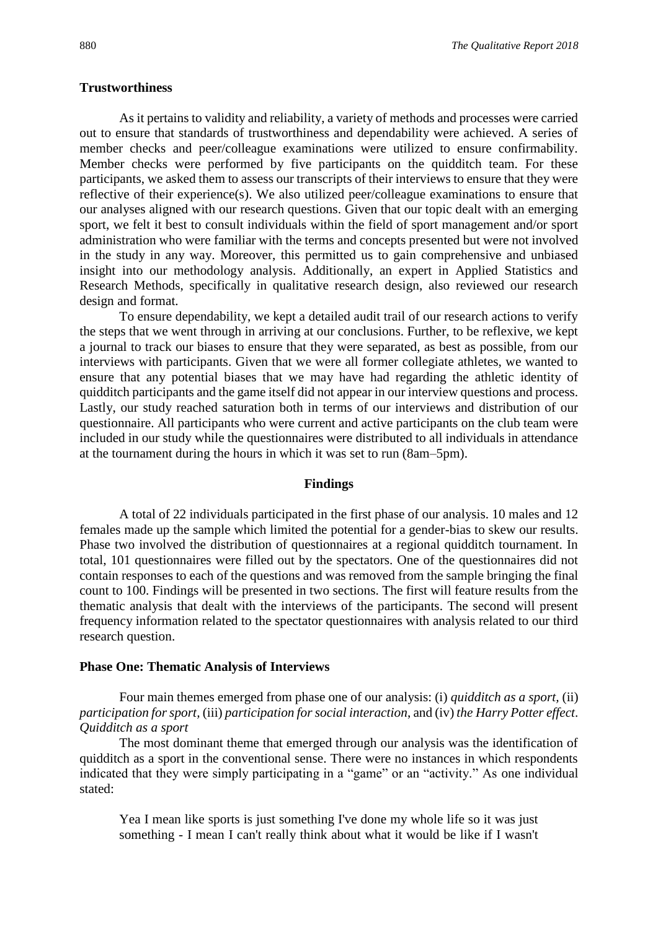#### **Trustworthiness**

As it pertains to validity and reliability, a variety of methods and processes were carried out to ensure that standards of trustworthiness and dependability were achieved. A series of member checks and peer/colleague examinations were utilized to ensure confirmability. Member checks were performed by five participants on the quidditch team. For these participants, we asked them to assess our transcripts of their interviews to ensure that they were reflective of their experience(s). We also utilized peer/colleague examinations to ensure that our analyses aligned with our research questions. Given that our topic dealt with an emerging sport, we felt it best to consult individuals within the field of sport management and/or sport administration who were familiar with the terms and concepts presented but were not involved in the study in any way. Moreover, this permitted us to gain comprehensive and unbiased insight into our methodology analysis. Additionally, an expert in Applied Statistics and Research Methods, specifically in qualitative research design, also reviewed our research design and format.

To ensure dependability, we kept a detailed audit trail of our research actions to verify the steps that we went through in arriving at our conclusions. Further, to be reflexive, we kept a journal to track our biases to ensure that they were separated, as best as possible, from our interviews with participants. Given that we were all former collegiate athletes, we wanted to ensure that any potential biases that we may have had regarding the athletic identity of quidditch participants and the game itself did not appear in our interview questions and process. Lastly, our study reached saturation both in terms of our interviews and distribution of our questionnaire. All participants who were current and active participants on the club team were included in our study while the questionnaires were distributed to all individuals in attendance at the tournament during the hours in which it was set to run (8am–5pm).

#### **Findings**

A total of 22 individuals participated in the first phase of our analysis. 10 males and 12 females made up the sample which limited the potential for a gender-bias to skew our results. Phase two involved the distribution of questionnaires at a regional quidditch tournament. In total, 101 questionnaires were filled out by the spectators. One of the questionnaires did not contain responses to each of the questions and was removed from the sample bringing the final count to 100. Findings will be presented in two sections. The first will feature results from the thematic analysis that dealt with the interviews of the participants. The second will present frequency information related to the spectator questionnaires with analysis related to our third research question.

#### **Phase One: Thematic Analysis of Interviews**

Four main themes emerged from phase one of our analysis: (i) *quidditch as a sport,* (ii) *participation for sport,* (iii) *participation for social interaction*, and (iv) *the Harry Potter effect*. *Quidditch as a sport*

The most dominant theme that emerged through our analysis was the identification of quidditch as a sport in the conventional sense. There were no instances in which respondents indicated that they were simply participating in a "game" or an "activity." As one individual stated:

Yea I mean like sports is just something I've done my whole life so it was just something - I mean I can't really think about what it would be like if I wasn't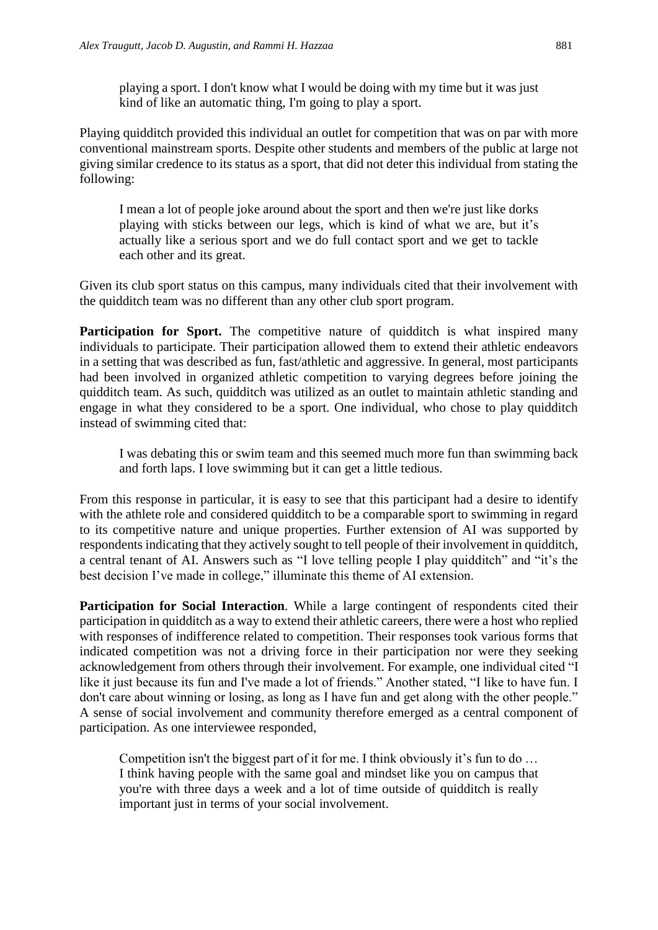playing a sport. I don't know what I would be doing with my time but it was just kind of like an automatic thing, I'm going to play a sport.

Playing quidditch provided this individual an outlet for competition that was on par with more conventional mainstream sports. Despite other students and members of the public at large not giving similar credence to its status as a sport, that did not deter this individual from stating the following:

I mean a lot of people joke around about the sport and then we're just like dorks playing with sticks between our legs, which is kind of what we are, but it's actually like a serious sport and we do full contact sport and we get to tackle each other and its great.

Given its club sport status on this campus, many individuals cited that their involvement with the quidditch team was no different than any other club sport program.

**Participation for Sport.** The competitive nature of quidditch is what inspired many individuals to participate. Their participation allowed them to extend their athletic endeavors in a setting that was described as fun, fast/athletic and aggressive. In general, most participants had been involved in organized athletic competition to varying degrees before joining the quidditch team. As such, quidditch was utilized as an outlet to maintain athletic standing and engage in what they considered to be a sport. One individual, who chose to play quidditch instead of swimming cited that:

I was debating this or swim team and this seemed much more fun than swimming back and forth laps. I love swimming but it can get a little tedious.

From this response in particular, it is easy to see that this participant had a desire to identify with the athlete role and considered quidditch to be a comparable sport to swimming in regard to its competitive nature and unique properties. Further extension of AI was supported by respondents indicating that they actively sought to tell people of their involvement in quidditch, a central tenant of AI. Answers such as "I love telling people I play quidditch" and "it's the best decision I've made in college," illuminate this theme of AI extension.

**Participation for Social Interaction***.* While a large contingent of respondents cited their participation in quidditch as a way to extend their athletic careers, there were a host who replied with responses of indifference related to competition. Their responses took various forms that indicated competition was not a driving force in their participation nor were they seeking acknowledgement from others through their involvement. For example, one individual cited "I like it just because its fun and I've made a lot of friends." Another stated, "I like to have fun. I don't care about winning or losing, as long as I have fun and get along with the other people." A sense of social involvement and community therefore emerged as a central component of participation. As one interviewee responded,

Competition isn't the biggest part of it for me. I think obviously it's fun to do … I think having people with the same goal and mindset like you on campus that you're with three days a week and a lot of time outside of quidditch is really important just in terms of your social involvement.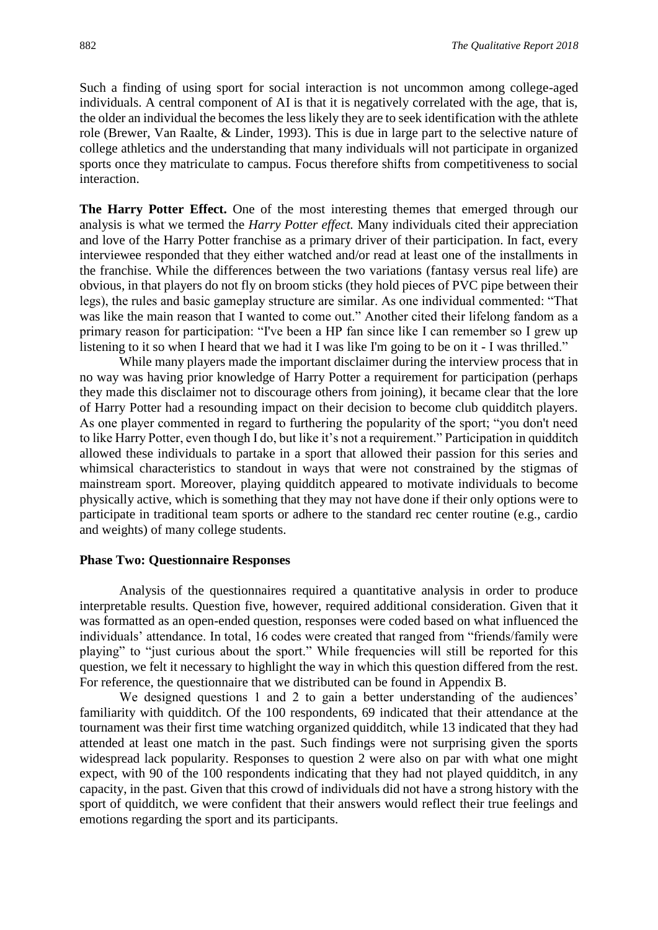Such a finding of using sport for social interaction is not uncommon among college-aged individuals. A central component of AI is that it is negatively correlated with the age, that is, the older an individual the becomes the less likely they are to seek identification with the athlete role (Brewer, Van Raalte, & Linder, 1993). This is due in large part to the selective nature of college athletics and the understanding that many individuals will not participate in organized sports once they matriculate to campus. Focus therefore shifts from competitiveness to social interaction.

**The Harry Potter Effect.** One of the most interesting themes that emerged through our analysis is what we termed the *Harry Potter effect.* Many individuals cited their appreciation and love of the Harry Potter franchise as a primary driver of their participation. In fact, every interviewee responded that they either watched and/or read at least one of the installments in the franchise. While the differences between the two variations (fantasy versus real life) are obvious, in that players do not fly on broom sticks (they hold pieces of PVC pipe between their legs), the rules and basic gameplay structure are similar. As one individual commented: "That was like the main reason that I wanted to come out." Another cited their lifelong fandom as a primary reason for participation: "I've been a HP fan since like I can remember so I grew up listening to it so when I heard that we had it I was like I'm going to be on it - I was thrilled."

While many players made the important disclaimer during the interview process that in no way was having prior knowledge of Harry Potter a requirement for participation (perhaps they made this disclaimer not to discourage others from joining), it became clear that the lore of Harry Potter had a resounding impact on their decision to become club quidditch players. As one player commented in regard to furthering the popularity of the sport; "you don't need to like Harry Potter, even though I do, but like it's not a requirement." Participation in quidditch allowed these individuals to partake in a sport that allowed their passion for this series and whimsical characteristics to standout in ways that were not constrained by the stigmas of mainstream sport. Moreover, playing quidditch appeared to motivate individuals to become physically active, which is something that they may not have done if their only options were to participate in traditional team sports or adhere to the standard rec center routine (e.g., cardio and weights) of many college students.

#### **Phase Two: Questionnaire Responses**

Analysis of the questionnaires required a quantitative analysis in order to produce interpretable results. Question five, however, required additional consideration. Given that it was formatted as an open-ended question, responses were coded based on what influenced the individuals' attendance. In total, 16 codes were created that ranged from "friends/family were playing" to "just curious about the sport." While frequencies will still be reported for this question, we felt it necessary to highlight the way in which this question differed from the rest. For reference, the questionnaire that we distributed can be found in Appendix B.

We designed questions 1 and 2 to gain a better understanding of the audiences' familiarity with quidditch. Of the 100 respondents, 69 indicated that their attendance at the tournament was their first time watching organized quidditch, while 13 indicated that they had attended at least one match in the past. Such findings were not surprising given the sports widespread lack popularity. Responses to question 2 were also on par with what one might expect, with 90 of the 100 respondents indicating that they had not played quidditch, in any capacity, in the past. Given that this crowd of individuals did not have a strong history with the sport of quidditch, we were confident that their answers would reflect their true feelings and emotions regarding the sport and its participants.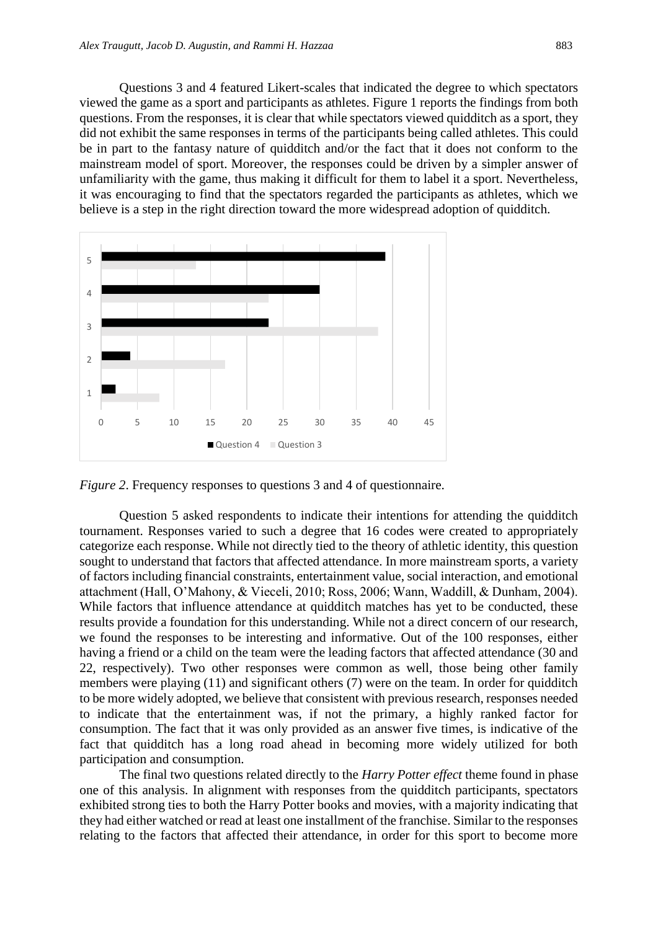Questions 3 and 4 featured Likert-scales that indicated the degree to which spectators viewed the game as a sport and participants as athletes. Figure 1 reports the findings from both questions. From the responses, it is clear that while spectators viewed quidditch as a sport, they did not exhibit the same responses in terms of the participants being called athletes. This could be in part to the fantasy nature of quidditch and/or the fact that it does not conform to the mainstream model of sport. Moreover, the responses could be driven by a simpler answer of unfamiliarity with the game, thus making it difficult for them to label it a sport. Nevertheless, it was encouraging to find that the spectators regarded the participants as athletes, which we believe is a step in the right direction toward the more widespread adoption of quidditch.



*Figure 2*. Frequency responses to questions 3 and 4 of questionnaire.

Question 5 asked respondents to indicate their intentions for attending the quidditch tournament. Responses varied to such a degree that 16 codes were created to appropriately categorize each response. While not directly tied to the theory of athletic identity, this question sought to understand that factors that affected attendance. In more mainstream sports, a variety of factors including financial constraints, entertainment value, social interaction, and emotional attachment (Hall, O'Mahony, & Vieceli, 2010; Ross, 2006; Wann, Waddill, & Dunham, 2004). While factors that influence attendance at quidditch matches has yet to be conducted, these results provide a foundation for this understanding. While not a direct concern of our research, we found the responses to be interesting and informative. Out of the 100 responses, either having a friend or a child on the team were the leading factors that affected attendance (30 and 22, respectively). Two other responses were common as well, those being other family members were playing (11) and significant others (7) were on the team. In order for quidditch to be more widely adopted, we believe that consistent with previous research, responses needed to indicate that the entertainment was, if not the primary, a highly ranked factor for consumption. The fact that it was only provided as an answer five times, is indicative of the fact that quidditch has a long road ahead in becoming more widely utilized for both participation and consumption.

The final two questions related directly to the *Harry Potter effect* theme found in phase one of this analysis. In alignment with responses from the quidditch participants, spectators exhibited strong ties to both the Harry Potter books and movies, with a majority indicating that they had either watched or read at least one installment of the franchise. Similar to the responses relating to the factors that affected their attendance, in order for this sport to become more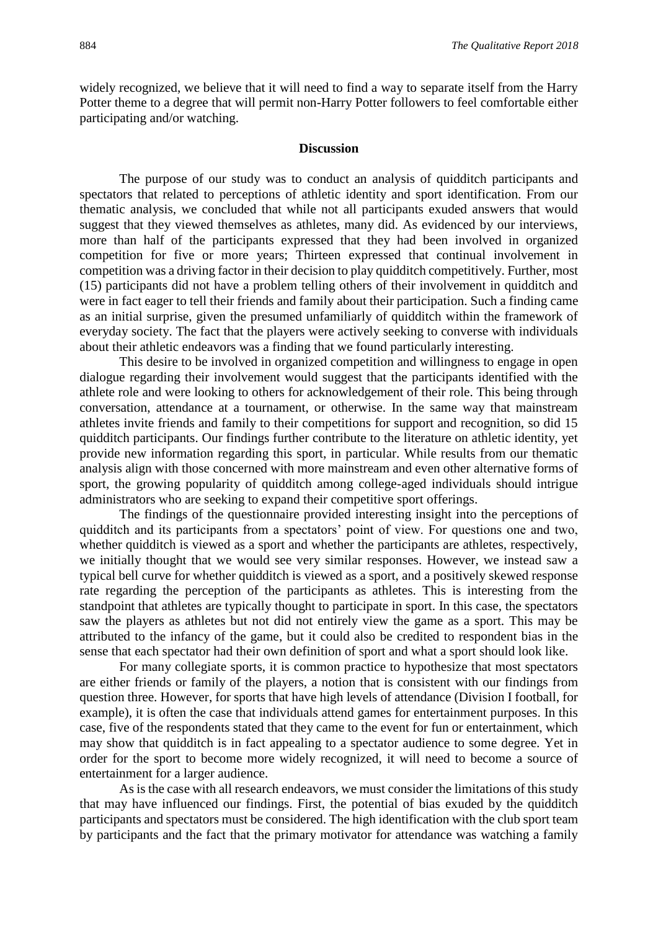widely recognized, we believe that it will need to find a way to separate itself from the Harry Potter theme to a degree that will permit non-Harry Potter followers to feel comfortable either participating and/or watching.

#### **Discussion**

The purpose of our study was to conduct an analysis of quidditch participants and spectators that related to perceptions of athletic identity and sport identification. From our thematic analysis, we concluded that while not all participants exuded answers that would suggest that they viewed themselves as athletes, many did. As evidenced by our interviews, more than half of the participants expressed that they had been involved in organized competition for five or more years; Thirteen expressed that continual involvement in competition was a driving factor in their decision to play quidditch competitively. Further, most (15) participants did not have a problem telling others of their involvement in quidditch and were in fact eager to tell their friends and family about their participation. Such a finding came as an initial surprise, given the presumed unfamiliarly of quidditch within the framework of everyday society. The fact that the players were actively seeking to converse with individuals about their athletic endeavors was a finding that we found particularly interesting.

This desire to be involved in organized competition and willingness to engage in open dialogue regarding their involvement would suggest that the participants identified with the athlete role and were looking to others for acknowledgement of their role. This being through conversation, attendance at a tournament, or otherwise. In the same way that mainstream athletes invite friends and family to their competitions for support and recognition, so did 15 quidditch participants. Our findings further contribute to the literature on athletic identity, yet provide new information regarding this sport, in particular. While results from our thematic analysis align with those concerned with more mainstream and even other alternative forms of sport, the growing popularity of quidditch among college-aged individuals should intrigue administrators who are seeking to expand their competitive sport offerings.

The findings of the questionnaire provided interesting insight into the perceptions of quidditch and its participants from a spectators' point of view. For questions one and two, whether quidditch is viewed as a sport and whether the participants are athletes, respectively, we initially thought that we would see very similar responses. However, we instead saw a typical bell curve for whether quidditch is viewed as a sport, and a positively skewed response rate regarding the perception of the participants as athletes. This is interesting from the standpoint that athletes are typically thought to participate in sport. In this case, the spectators saw the players as athletes but not did not entirely view the game as a sport. This may be attributed to the infancy of the game, but it could also be credited to respondent bias in the sense that each spectator had their own definition of sport and what a sport should look like.

For many collegiate sports, it is common practice to hypothesize that most spectators are either friends or family of the players, a notion that is consistent with our findings from question three. However, for sports that have high levels of attendance (Division I football, for example), it is often the case that individuals attend games for entertainment purposes. In this case, five of the respondents stated that they came to the event for fun or entertainment, which may show that quidditch is in fact appealing to a spectator audience to some degree. Yet in order for the sport to become more widely recognized, it will need to become a source of entertainment for a larger audience.

As is the case with all research endeavors, we must consider the limitations of this study that may have influenced our findings. First, the potential of bias exuded by the quidditch participants and spectators must be considered. The high identification with the club sport team by participants and the fact that the primary motivator for attendance was watching a family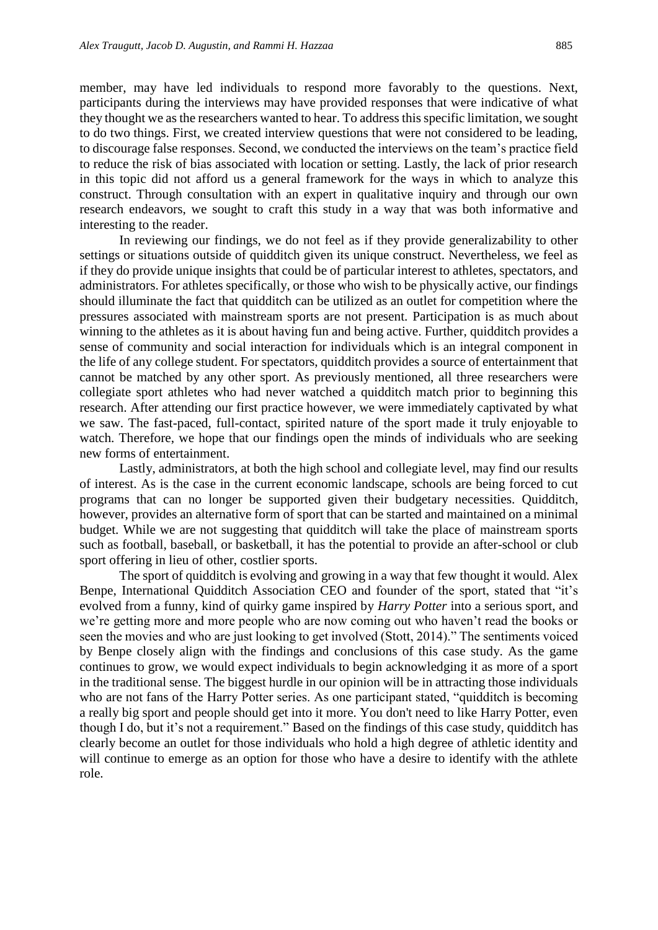member, may have led individuals to respond more favorably to the questions. Next, participants during the interviews may have provided responses that were indicative of what they thought we as the researchers wanted to hear. To address this specific limitation, we sought to do two things. First, we created interview questions that were not considered to be leading, to discourage false responses. Second, we conducted the interviews on the team's practice field to reduce the risk of bias associated with location or setting. Lastly, the lack of prior research in this topic did not afford us a general framework for the ways in which to analyze this construct. Through consultation with an expert in qualitative inquiry and through our own research endeavors, we sought to craft this study in a way that was both informative and interesting to the reader.

In reviewing our findings, we do not feel as if they provide generalizability to other settings or situations outside of quidditch given its unique construct. Nevertheless, we feel as if they do provide unique insights that could be of particular interest to athletes, spectators, and administrators. For athletes specifically, or those who wish to be physically active, our findings should illuminate the fact that quidditch can be utilized as an outlet for competition where the pressures associated with mainstream sports are not present. Participation is as much about winning to the athletes as it is about having fun and being active. Further, quidditch provides a sense of community and social interaction for individuals which is an integral component in the life of any college student. For spectators, quidditch provides a source of entertainment that cannot be matched by any other sport. As previously mentioned, all three researchers were collegiate sport athletes who had never watched a quidditch match prior to beginning this research. After attending our first practice however, we were immediately captivated by what we saw. The fast-paced, full-contact, spirited nature of the sport made it truly enjoyable to watch. Therefore, we hope that our findings open the minds of individuals who are seeking new forms of entertainment.

Lastly, administrators, at both the high school and collegiate level, may find our results of interest. As is the case in the current economic landscape, schools are being forced to cut programs that can no longer be supported given their budgetary necessities. Quidditch, however, provides an alternative form of sport that can be started and maintained on a minimal budget. While we are not suggesting that quidditch will take the place of mainstream sports such as football, baseball, or basketball, it has the potential to provide an after-school or club sport offering in lieu of other, costlier sports.

The sport of quidditch is evolving and growing in a way that few thought it would. Alex Benpe, International Quidditch Association CEO and founder of the sport, stated that "it's evolved from a funny, kind of quirky game inspired by *Harry Potter* into a serious sport, and we're getting more and more people who are now coming out who haven't read the books or seen the movies and who are just looking to get involved (Stott, 2014)." The sentiments voiced by Benpe closely align with the findings and conclusions of this case study. As the game continues to grow, we would expect individuals to begin acknowledging it as more of a sport in the traditional sense. The biggest hurdle in our opinion will be in attracting those individuals who are not fans of the Harry Potter series. As one participant stated, "quidditch is becoming a really big sport and people should get into it more. You don't need to like Harry Potter, even though I do, but it's not a requirement." Based on the findings of this case study, quidditch has clearly become an outlet for those individuals who hold a high degree of athletic identity and will continue to emerge as an option for those who have a desire to identify with the athlete role.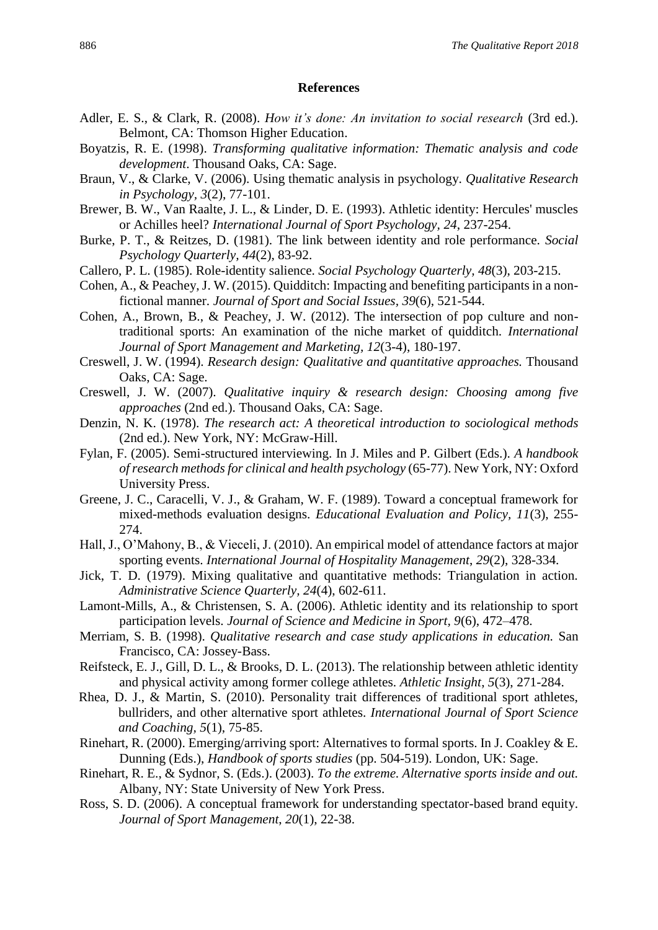#### **References**

- Adler, E. S., & Clark, R. (2008). *How it's done: An invitation to social research* (3rd ed.). Belmont, CA: Thomson Higher Education.
- Boyatzis, R. E. (1998). *Transforming qualitative information: Thematic analysis and code development*. Thousand Oaks, CA: Sage.
- Braun, V., & Clarke, V. (2006). Using thematic analysis in psychology. *Qualitative Research in Psychology, 3*(2), 77-101.
- Brewer, B. W., Van Raalte, J. L., & Linder, D. E. (1993). Athletic identity: Hercules' muscles or Achilles heel? *International Journal of Sport Psychology, 24*, 237-254.
- Burke, P. T., & Reitzes, D. (1981). The link between identity and role performance. *Social Psychology Quarterly, 44*(2), 83-92.
- Callero, P. L. (1985). Role-identity salience. *Social Psychology Quarterly, 48*(3), 203-215.
- Cohen, A., & Peachey, J. W. (2015). Quidditch: Impacting and benefiting participants in a nonfictional manner. *Journal of Sport and Social Issues, 39*(6), 521-544.
- Cohen, A., Brown, B., & Peachey, J. W. (2012). The intersection of pop culture and nontraditional sports: An examination of the niche market of quidditch. *International Journal of Sport Management and Marketing, 12*(3-4), 180-197.
- Creswell, J. W. (1994). *Research design: Qualitative and quantitative approaches.* Thousand Oaks, CA: Sage.
- Creswell, J. W. (2007). *Qualitative inquiry & research design: Choosing among five approaches* (2nd ed.). Thousand Oaks, CA: Sage.
- Denzin, N. K. (1978). *The research act: A theoretical introduction to sociological methods* (2nd ed.). New York, NY: McGraw-Hill.
- Fylan, F. (2005). Semi-structured interviewing. In J. Miles and P. Gilbert (Eds.). *A handbook of research methods for clinical and health psychology* (65-77). New York, NY: Oxford University Press.
- Greene, J. C., Caracelli, V. J., & Graham, W. F. (1989). Toward a conceptual framework for mixed-methods evaluation designs. *Educational Evaluation and Policy, 11*(3), 255- 274.
- Hall, J., O'Mahony, B., & Vieceli, J. (2010). An empirical model of attendance factors at major sporting events. *International Journal of Hospitality Management*, *29*(2), 328-334.
- Jick, T. D. (1979). Mixing qualitative and quantitative methods: Triangulation in action. *Administrative Science Quarterly, 24*(4), 602-611.
- Lamont-Mills, A., & Christensen, S. A. (2006). Athletic identity and its relationship to sport participation levels. *Journal of Science and Medicine in Sport, 9*(6), 472–478.
- Merriam, S. B. (1998). *Qualitative research and case study applications in education.* San Francisco, CA: Jossey-Bass.
- Reifsteck, E. J., Gill, D. L., & Brooks, D. L. (2013). The relationship between athletic identity and physical activity among former college athletes. *Athletic Insight*, *5*(3), 271-284.
- Rhea, D. J., & Martin, S. (2010). Personality trait differences of traditional sport athletes, bullriders, and other alternative sport athletes. *International Journal of Sport Science and Coaching, 5*(1), 75-85.
- Rinehart, R. (2000). Emerging/arriving sport: Alternatives to formal sports. In J. Coakley & E. Dunning (Eds.), *Handbook of sports studies* (pp. 504-519). London, UK: Sage.
- Rinehart, R. E., & Sydnor, S. (Eds.). (2003). *To the extreme. Alternative sports inside and out.*  Albany, NY: State University of New York Press.
- Ross, S. D. (2006). A conceptual framework for understanding spectator-based brand equity. *Journal of Sport Management*, *20*(1), 22-38.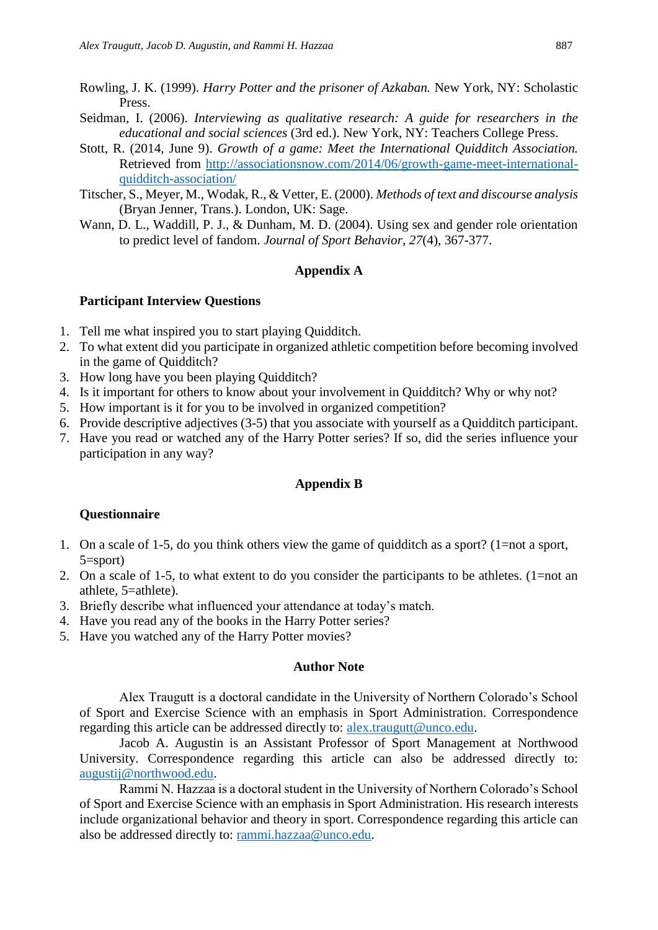- Rowling, J. K. (1999). *Harry Potter and the prisoner of Azkaban.* New York, NY: Scholastic Press.
- Seidman, I. (2006). *Interviewing as qualitative research: A guide for researchers in the educational and social sciences* (3rd ed.). New York, NY: Teachers College Press.
- Stott, R. (2014, June 9). *Growth of a game: Meet the International Quidditch Association.* Retrieved from [http://associationsnow.com/2014/06/growth-game-meet-international](http://associationsnow.com/2014/06/growth-game-meet-international-quidditch-association/)[quidditch-association/](http://associationsnow.com/2014/06/growth-game-meet-international-quidditch-association/)
- Titscher, S., Meyer, M., Wodak, R., & Vetter, E. (2000). *Methods of text and discourse analysis*  (Bryan Jenner, Trans.). London, UK: Sage.
- Wann, D. L., Waddill, P. J., & Dunham, M. D. (2004). Using sex and gender role orientation to predict level of fandom. *Journal of Sport Behavior*, *27*(4), 367-377.

# **Appendix A**

### **Participant Interview Questions**

- 1. Tell me what inspired you to start playing Quidditch.
- 2. To what extent did you participate in organized athletic competition before becoming involved in the game of Quidditch?
- 3. How long have you been playing Quidditch?
- 4. Is it important for others to know about your involvement in Quidditch? Why or why not?
- 5. How important is it for you to be involved in organized competition?
- 6. Provide descriptive adjectives (3-5) that you associate with yourself as a Quidditch participant.
- 7. Have you read or watched any of the Harry Potter series? If so, did the series influence your participation in any way?

#### **Appendix B**

#### **Questionnaire**

- 1. On a scale of 1-5, do you think others view the game of quidditch as a sport? (1=not a sport, 5=sport)
- 2. On a scale of 1-5, to what extent to do you consider the participants to be athletes. (1=not an athlete, 5=athlete).
- 3. Briefly describe what influenced your attendance at today's match.
- 4. Have you read any of the books in the Harry Potter series?
- 5. Have you watched any of the Harry Potter movies?

#### **Author Note**

Alex Traugutt is a doctoral candidate in the University of Northern Colorado's School of Sport and Exercise Science with an emphasis in Sport Administration. Correspondence regarding this article can be addressed directly to: [alex.traugutt@unco.edu.](mailto:alex.traugutt@unco.edu)

Jacob A. Augustin is an Assistant Professor of Sport Management at Northwood University. Correspondence regarding this article can also be addressed directly to: [augustij@northwood.edu.](mailto:augustij@northwood.edu)

Rammi N. Hazzaa is a doctoral student in the University of Northern Colorado's School of Sport and Exercise Science with an emphasis in Sport Administration. His research interests include organizational behavior and theory in sport. Correspondence regarding this article can also be addressed directly to: [rammi.hazzaa@unco.edu.](mailto:rammi.hazzaa@unco.edu)